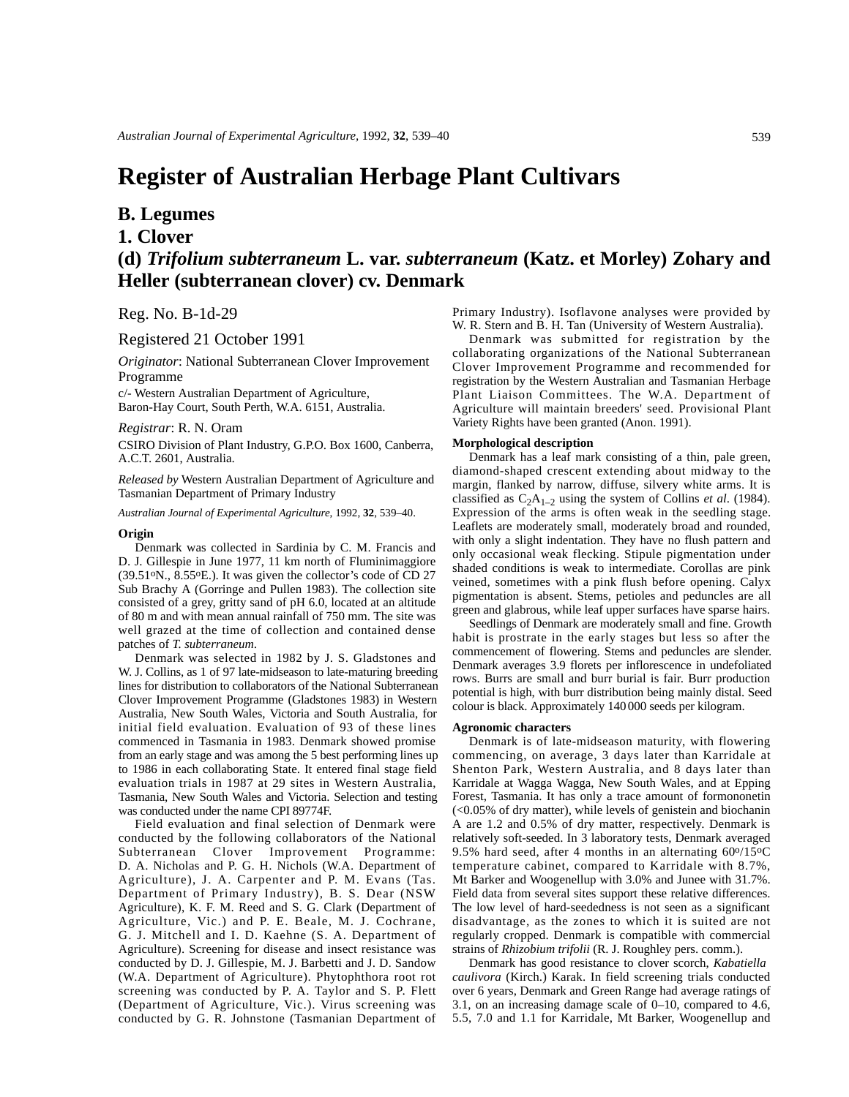# **Register of Australian Herbage Plant Cultivars**

## **B. Legumes**

### **1. Clover**

## **(d)** *Trifolium subterraneum* **L. var.** *subterraneum* **(Katz. et Morley) Zohary and Heller (subterranean clover) cv. Denmark**

Reg. No. B-1d-29

#### Registered 21 October 1991

*Originator*: National Subterranean Clover Improvement Programme

c/- Western Australian Department of Agriculture, Baron-Hay Court, South Perth, W.A. 6151, Australia.

#### *Registrar*: R. N. Oram

CSIRO Division of Plant Industry, G.P.O. Box 1600, Canberra, A.C.T. 2601, Australia.

*Released by* Western Australian Department of Agriculture and Tasmanian Department of Primary Industry

*Australian Journal of Experimental Agriculture*, 1992, **32**, 539–40.

#### **Origin**

Denmark was collected in Sardinia by C. M. Francis and D. J. Gillespie in June 1977, 11 km north of Fluminimaggiore (39.51oN., 8.55oE.). It was given the collector's code of CD 27 Sub Brachy A (Gorringe and Pullen 1983). The collection site consisted of a grey, gritty sand of pH 6.0, located at an altitude of 80 m and with mean annual rainfall of 750 mm. The site was well grazed at the time of collection and contained dense patches of *T. subterraneum*.

Denmark was selected in 1982 by J. S. Gladstones and W. J. Collins, as 1 of 97 late-midseason to late-maturing breeding lines for distribution to collaborators of the National Subterranean Clover Improvement Programme (Gladstones 1983) in Western Australia, New South Wales, Victoria and South Australia, for initial field evaluation. Evaluation of 93 of these lines commenced in Tasmania in 1983. Denmark showed promise from an early stage and was among the 5 best performing lines up to 1986 in each collaborating State. It entered final stage field evaluation trials in 1987 at 29 sites in Western Australia, Tasmania, New South Wales and Victoria. Selection and testing was conducted under the name CPI 89774F.

Field evaluation and final selection of Denmark were conducted by the following collaborators of the National Subterranean Clover Improvement Programme: D. A. Nicholas and P. G. H. Nichols (W.A. Department of Agriculture), J. A. Carpenter and P. M. Evans (Tas. Department of Primary Industry), B. S. Dear (NSW Agriculture), K. F. M. Reed and S. G. Clark (Department of Agriculture, Vic.) and P. E. Beale, M. J. Cochrane, G. J. Mitchell and I. D. Kaehne (S. A. Department of Agriculture). Screening for disease and insect resistance was conducted by D. J. Gillespie, M. J. Barbetti and J. D. Sandow (W.A. Department of Agriculture). Phytophthora root rot screening was conducted by P. A. Taylor and S. P. Flett (Department of Agriculture, Vic.). Virus screening was conducted by G. R. Johnstone (Tasmanian Department of Primary Industry). Isoflavone analyses were provided by W. R. Stern and B. H. Tan (University of Western Australia).

Denmark was submitted for registration by the collaborating organizations of the National Subterranean Clover Improvement Programme and recommended for registration by the Western Australian and Tasmanian Herbage Plant Liaison Committees. The W.A. Department of Agriculture will maintain breeders' seed. Provisional Plant Variety Rights have been granted (Anon. 1991).

#### **Morphological description**

Denmark has a leaf mark consisting of a thin, pale green, diamond-shaped crescent extending about midway to the margin, flanked by narrow, diffuse, silvery white arms. It is classified as  $C_2A_{1-2}$  using the system of Collins *et al.* (1984). Expression of the arms is often weak in the seedling stage. Leaflets are moderately small, moderately broad and rounded, with only a slight indentation. They have no flush pattern and only occasional weak flecking. Stipule pigmentation under shaded conditions is weak to intermediate. Corollas are pink veined, sometimes with a pink flush before opening. Calyx pigmentation is absent. Stems, petioles and peduncles are all green and glabrous, while leaf upper surfaces have sparse hairs.

Seedlings of Denmark are moderately small and fine. Growth habit is prostrate in the early stages but less so after the commencement of flowering. Stems and peduncles are slender. Denmark averages 3.9 florets per inflorescence in undefoliated rows. Burrs are small and burr burial is fair. Burr production potential is high, with burr distribution being mainly distal. Seed colour is black. Approximately 140 000 seeds per kilogram.

#### **Agronomic characters**

Denmark is of late-midseason maturity, with flowering commencing, on average, 3 days later than Karridale at Shenton Park, Western Australia, and 8 days later than Karridale at Wagga Wagga, New South Wales, and at Epping Forest, Tasmania. It has only a trace amount of formononetin (<0.05% of dry matter), while levels of genistein and biochanin A are 1.2 and 0.5% of dry matter, respectively. Denmark is relatively soft-seeded. In 3 laboratory tests, Denmark averaged 9.5% hard seed, after 4 months in an alternating  $60\frac{0}{15}$ <sup>o</sup>C temperature cabinet, compared to Karridale with 8.7%, Mt Barker and Woogenellup with 3.0% and Junee with 31.7%. Field data from several sites support these relative differences. The low level of hard-seededness is not seen as a significant disadvantage, as the zones to which it is suited are not regularly cropped. Denmark is compatible with commercial strains of *Rhizobium trifolii* (R. J. Roughley pers. comm.).

Denmark has good resistance to clover scorch, *Kabatiella caulivora* (Kirch.) Karak. In field screening trials conducted over 6 years, Denmark and Green Range had average ratings of 3.1, on an increasing damage scale of 0–10, compared to 4.6, 5.5, 7.0 and 1.1 for Karridale, Mt Barker, Woogenellup and